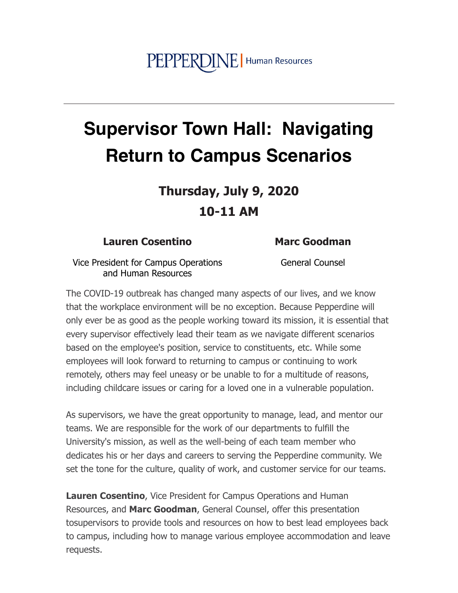## PEPPERDINE | Human Resources

## **Supervisor Town Hall: Navigating Return to Campus Scenarios**

Thursday, July 9, 2020  $10-11$  AM

## **Lauren Cosentino**

## **Marc Goodman**

General Counsel

Vice President for Campus Operations and Human Resources

The COVID-19 outbreak has changed many aspects of our lives, and we know that the workplace environment will be no exception. Because Pepperdine will only ever be as good as the people working toward its mission, it is essential that every supervisor effectively lead their team as we navigate different scenarios based on the employee's position, service to constituents, etc. While some employees will look forward to returning to campus or continuing to work remotely, others may feel uneasy or be unable to for a multitude of reasons, including childcare issues or caring for a loved one in a vulnerable population.

As supervisors, we have the great opportunity to manage, lead, and mentor our teams. We are responsible for the work of our departments to fulfill the University's mission, as well as the well-being of each team member who dedicates his or her days and careers to serving the Pepperdine community. We set the tone for the culture, quality of work, and customer service for our teams.

**Lauren Cosentino, Vice President for Campus Operations and Human** Resources, and Marc Goodman, General Counsel, offer this presentation tosupervisors to provide tools and resources on how to best lead employees back to campus, including how to manage various employee accommodation and leave requests.